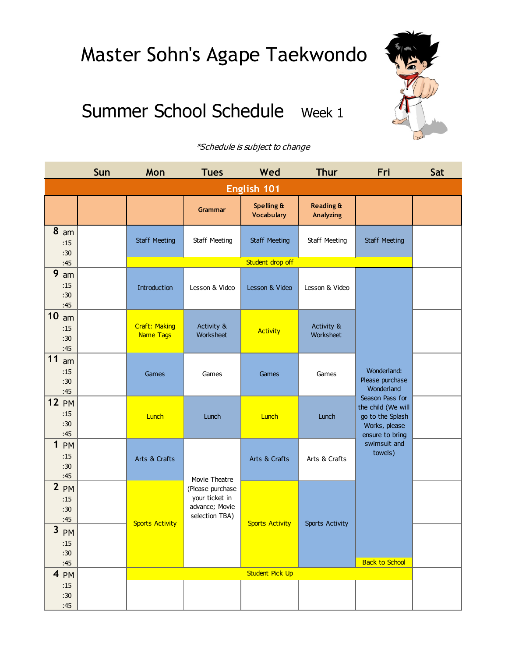## Summer School Schedule Week 1



|                                             | Sun | Mon                               | <b>Tues</b>             | Wed                                        | <b>Thur</b>                              | Fri                                          | Sat |  |
|---------------------------------------------|-----|-----------------------------------|-------------------------|--------------------------------------------|------------------------------------------|----------------------------------------------|-----|--|
| English 101                                 |     |                                   |                         |                                            |                                          |                                              |     |  |
|                                             |     |                                   | <b>Grammar</b>          | <b>Spelling &amp;</b><br><b>Vocabulary</b> | <b>Reading &amp;</b><br><b>Analyzing</b> |                                              |     |  |
| 8 <sub>am</sub><br>:15<br>:30               |     | Staff Meeting                     | Staff Meeting           | <b>Staff Meeting</b>                       | Staff Meeting                            | <b>Staff Meeting</b>                         |     |  |
| :45                                         |     |                                   |                         | Student drop off                           |                                          |                                              |     |  |
| 9<br>am<br>:15<br>:30<br>:45                |     | Introduction                      | Lesson & Video          | Lesson & Video                             | Lesson & Video                           |                                              |     |  |
| $\boldsymbol{0}$<br>am<br>:15<br>:30<br>:45 |     | <b>Craft: Making</b><br>Name Tags | Activity &<br>Worksheet | <b>Activity</b>                            | Activity &<br>Worksheet                  |                                              |     |  |
| 1<br>am<br>:15<br>:30<br>:45                |     | Games                             | Games                   | Games                                      | Games                                    | Wonderland:<br>Please purchase<br>Wonderland |     |  |
| 2 P M                                       |     |                                   |                         |                                            |                                          | Season Pass for<br>the child (We will        |     |  |

| :15<br>:30<br>:45                                 |  | Introduction                             | Lesson & Video                                                         | Lesson & Video         | Lesson & Video          |                                                                                               |  |
|---------------------------------------------------|--|------------------------------------------|------------------------------------------------------------------------|------------------------|-------------------------|-----------------------------------------------------------------------------------------------|--|
| 10<br>am<br>:15<br>:30<br>:45                     |  | <b>Craft: Making</b><br><b>Name Tags</b> | Activity &<br>Worksheet                                                | <b>Activity</b>        | Activity &<br>Worksheet |                                                                                               |  |
| 11<br>am<br>:15<br>:30<br>:45                     |  | Games                                    | Games                                                                  | Games                  | Games                   | Wonderland:<br>Please purchase<br>Wonderland                                                  |  |
| <b>12 PM</b><br>:15<br>:30<br>:45                 |  | Lunch                                    | Lunch                                                                  | Lunch                  | Lunch                   | Season Pass for<br>the child (We will<br>go to the Splash<br>Works, please<br>ensure to bring |  |
| 1 P M<br>:15<br>:30<br>:45                        |  | Arts & Crafts                            | Movie Theatre                                                          | Arts & Crafts          | Arts & Crafts           | swimsuit and<br>towels)                                                                       |  |
| $2$ PM<br>:15<br>:30<br>:45<br>$\mathbf{3}$<br>PM |  | <b>Sports Activity</b>                   | (Please purchase<br>your ticket in<br>advance; Movie<br>selection TBA) | <b>Sports Activity</b> | Sports Activity         |                                                                                               |  |
| :15<br>:30<br>:45                                 |  |                                          |                                                                        |                        |                         | <b>Back to School</b>                                                                         |  |
| 4 PM<br>:15<br>:30<br>:45                         |  |                                          |                                                                        | <b>Student Pick Up</b> |                         |                                                                                               |  |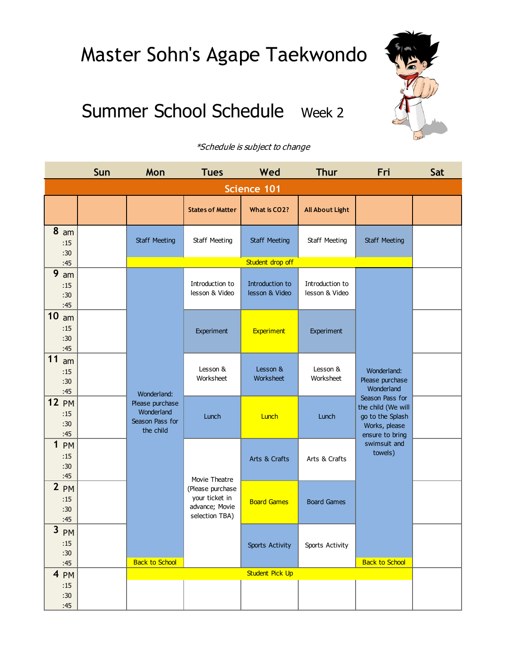### Summer School Schedule Week 2



|                                               | Sun | Mon                                                                          | <b>Tues</b>                                                                             | Wed                               | <b>Thur</b>                       | Fri                                                                                                                                                                      | Sat |  |
|-----------------------------------------------|-----|------------------------------------------------------------------------------|-----------------------------------------------------------------------------------------|-----------------------------------|-----------------------------------|--------------------------------------------------------------------------------------------------------------------------------------------------------------------------|-----|--|
| <b>Science 101</b>                            |     |                                                                              |                                                                                         |                                   |                                   |                                                                                                                                                                          |     |  |
|                                               |     |                                                                              | <b>States of Matter</b>                                                                 | What is CO2?                      | <b>All About Light</b>            |                                                                                                                                                                          |     |  |
| 8 <sub>am</sub><br>:15<br>:30                 |     | <b>Staff Meeting</b>                                                         | Staff Meeting                                                                           | <b>Staff Meeting</b>              | Staff Meeting                     | <b>Staff Meeting</b>                                                                                                                                                     |     |  |
| :45                                           |     |                                                                              |                                                                                         | Student drop off                  |                                   |                                                                                                                                                                          |     |  |
| 9<br>am<br>:15<br>:30<br>:45                  |     |                                                                              | Introduction to<br>lesson & Video                                                       | Introduction to<br>lesson & Video | Introduction to<br>lesson & Video | Wonderland:<br>Please purchase<br>Wonderland<br>Season Pass for<br>the child (We will<br>go to the Splash<br>Works, please<br>ensure to bring<br>swimsuit and<br>towels) |     |  |
| 10<br>am<br>:15<br>:30<br>:45                 |     |                                                                              | Experiment                                                                              | <b>Experiment</b>                 | Experiment                        |                                                                                                                                                                          |     |  |
| 11<br>am<br>:15<br>:30<br>:45                 |     | Wonderland:<br>Please purchase<br>Wonderland<br>Season Pass for<br>the child | Lesson &<br>Worksheet                                                                   | Lesson &<br>Worksheet             | Lesson &<br>Worksheet             |                                                                                                                                                                          |     |  |
| <b>12 PM</b><br>:15<br>:30<br>:45             |     |                                                                              | Lunch                                                                                   | Lunch                             | Lunch                             |                                                                                                                                                                          |     |  |
| $\mathbf 1$<br><b>PM</b><br>:15<br>:30<br>:45 |     |                                                                              | Movie Theatre<br>(Please purchase<br>your ticket in<br>advance; Movie<br>selection TBA) | Arts & Crafts                     | Arts & Crafts                     |                                                                                                                                                                          |     |  |
| $2$ PM<br>:15<br>:30<br>:45                   |     | <b>Back to School</b>                                                        |                                                                                         | <b>Board Games</b>                | <b>Board Games</b>                |                                                                                                                                                                          |     |  |
| 3 PM<br>:15<br>:30<br>:45                     |     |                                                                              |                                                                                         | Sports Activity                   | Sports Activity                   | <b>Back to School</b>                                                                                                                                                    |     |  |
| $4 \npm M$                                    |     |                                                                              |                                                                                         | <b>Student Pick Up</b>            |                                   |                                                                                                                                                                          |     |  |
| :15<br>:30<br>:45                             |     |                                                                              |                                                                                         |                                   |                                   |                                                                                                                                                                          |     |  |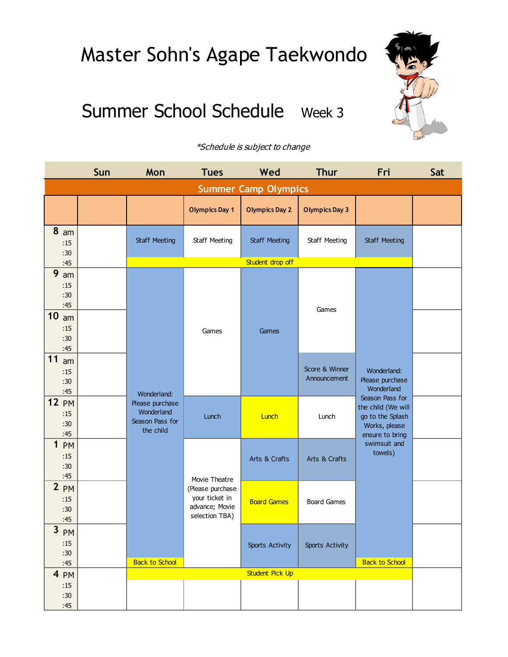## Summer School Schedule Week 3



|                                                    | Sun | Mon                                                           | <b>Tues</b>                                                                             | Wed                         | <b>Thur</b>                    | Fri                                                                                                                                                                      | Sat |
|----------------------------------------------------|-----|---------------------------------------------------------------|-----------------------------------------------------------------------------------------|-----------------------------|--------------------------------|--------------------------------------------------------------------------------------------------------------------------------------------------------------------------|-----|
|                                                    |     |                                                               |                                                                                         | <b>Summer Camp Olympics</b> |                                |                                                                                                                                                                          |     |
|                                                    |     |                                                               | <b>Olympics Day 1</b>                                                                   | <b>Olympics Day 2</b>       | <b>Olympics Day 3</b>          |                                                                                                                                                                          |     |
| 8<br>am<br>:15<br>:30                              |     | Staff Meeting                                                 | Staff Meeting                                                                           | <b>Staff Meeting</b>        | Staff Meeting                  | <b>Staff Meeting</b>                                                                                                                                                     |     |
| :45                                                |     |                                                               |                                                                                         | Student drop off            |                                |                                                                                                                                                                          |     |
| 9<br>am<br>:15<br>:30<br>:45                       |     |                                                               | Games                                                                                   | Games                       | Games                          | Wonderland:<br>Please purchase<br>Wonderland<br>Season Pass for<br>the child (We will<br>go to the Splash<br>Works, please<br>ensure to bring<br>swimsuit and<br>towels) |     |
| 10<br>am<br>:15<br>:30<br>:45                      |     |                                                               |                                                                                         |                             |                                |                                                                                                                                                                          |     |
| 11<br>am<br>:15<br>:30<br>:45                      |     | Wonderland:                                                   |                                                                                         |                             | Score & Winner<br>Announcement |                                                                                                                                                                          |     |
| <b>12 PM</b><br>:15<br>:30<br>:45                  |     | Please purchase<br>Wonderland<br>Season Pass for<br>the child | Lunch                                                                                   | Lunch                       | Lunch                          |                                                                                                                                                                          |     |
| $\mathbf{1}$<br>PM<br>:15<br>:30<br>:45            |     |                                                               | Movie Theatre<br>(Please purchase<br>your ticket in<br>advance; Movie<br>selection TBA) | Arts & Crafts               | Arts & Crafts                  |                                                                                                                                                                          |     |
| 2 <sub>PM</sub><br>:15<br>:30<br>:45               |     | <b>Back to School</b>                                         |                                                                                         | <b>Board Games</b>          | <b>Board Games</b>             |                                                                                                                                                                          |     |
| $\overline{\mathbf{3}}$<br>PM<br>:15<br>:30<br>:45 |     |                                                               |                                                                                         | <b>Sports Activity</b>      | <b>Sports Activity</b>         | <b>Back to School</b>                                                                                                                                                    |     |
| 4 PM                                               |     |                                                               |                                                                                         | Student Pick Up             |                                |                                                                                                                                                                          |     |
| :15<br>:30<br>:45                                  |     |                                                               |                                                                                         |                             |                                |                                                                                                                                                                          |     |